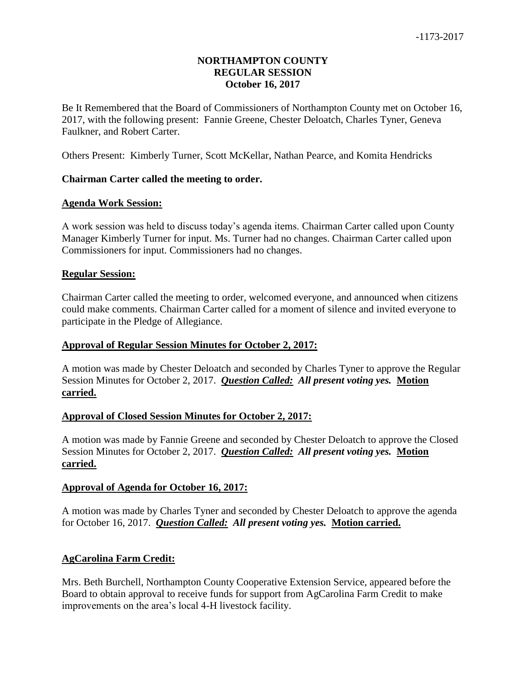## **NORTHAMPTON COUNTY REGULAR SESSION October 16, 2017**

Be It Remembered that the Board of Commissioners of Northampton County met on October 16, 2017, with the following present: Fannie Greene, Chester Deloatch, Charles Tyner, Geneva Faulkner, and Robert Carter.

Others Present: Kimberly Turner, Scott McKellar, Nathan Pearce, and Komita Hendricks

### **Chairman Carter called the meeting to order.**

#### **Agenda Work Session:**

A work session was held to discuss today's agenda items. Chairman Carter called upon County Manager Kimberly Turner for input. Ms. Turner had no changes. Chairman Carter called upon Commissioners for input. Commissioners had no changes.

#### **Regular Session:**

Chairman Carter called the meeting to order, welcomed everyone, and announced when citizens could make comments. Chairman Carter called for a moment of silence and invited everyone to participate in the Pledge of Allegiance.

### **Approval of Regular Session Minutes for October 2, 2017:**

A motion was made by Chester Deloatch and seconded by Charles Tyner to approve the Regular Session Minutes for October 2, 2017. *Question Called: All present voting yes.* **Motion carried.**

### **Approval of Closed Session Minutes for October 2, 2017:**

A motion was made by Fannie Greene and seconded by Chester Deloatch to approve the Closed Session Minutes for October 2, 2017. *Question Called: All present voting yes.* **Motion carried.**

#### **Approval of Agenda for October 16, 2017:**

A motion was made by Charles Tyner and seconded by Chester Deloatch to approve the agenda for October 16, 2017. *Question Called: All present voting yes.* **Motion carried.**

### **AgCarolina Farm Credit:**

Mrs. Beth Burchell, Northampton County Cooperative Extension Service, appeared before the Board to obtain approval to receive funds for support from AgCarolina Farm Credit to make improvements on the area's local 4-H livestock facility.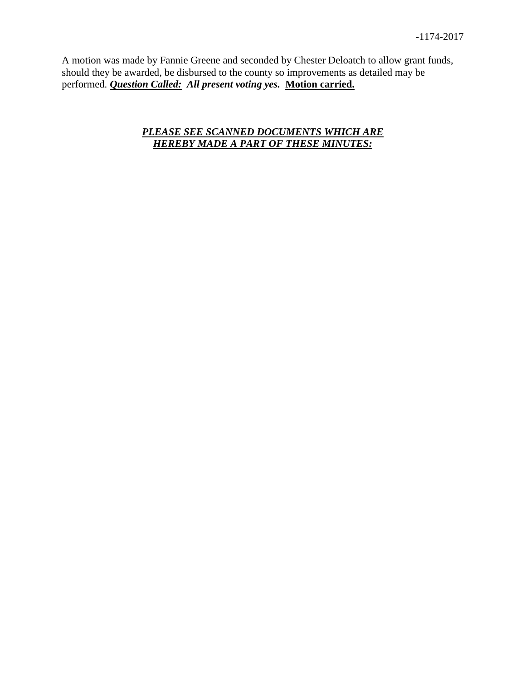A motion was made by Fannie Greene and seconded by Chester Deloatch to allow grant funds, should they be awarded, be disbursed to the county so improvements as detailed may be performed. *Question Called: All present voting yes.* **Motion carried.**

# *PLEASE SEE SCANNED DOCUMENTS WHICH ARE HEREBY MADE A PART OF THESE MINUTES:*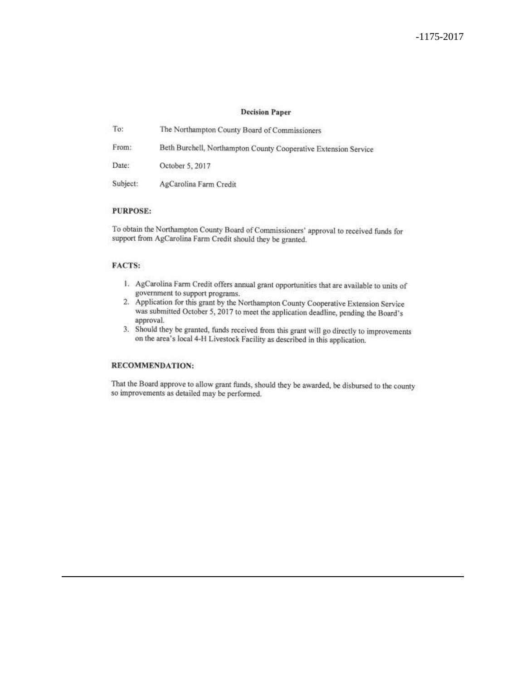#### **Decision Paper**

| To:      | The Northampton County Board of Commissioners                   |
|----------|-----------------------------------------------------------------|
| From:    | Beth Burchell, Northampton County Cooperative Extension Service |
| Date:    | October 5, 2017                                                 |
| Subject: | AgCarolina Farm Credit                                          |

#### **PURPOSE:**

To obtain the Northampton County Board of Commissioners' approval to received funds for support from AgCarolina Farm Credit should they be granted.

#### FACTS:

- 1. AgCarolina Farm Credit offers annual grant opportunities that are available to units of government to support programs.
- 2. Application for this grant by the Northampton County Cooperative Extension Service was submitted October 5, 2017 to meet the application deadline, pending the Board's approval.
- 3. Should they be granted, funds received from this grant will go directly to improvements on the area's local 4-H Livestock Facility as described in this application.

#### RECOMMENDATION:

That the Board approve to allow grant funds, should they be awarded, be disbursed to the county so improvements as detailed may be performed.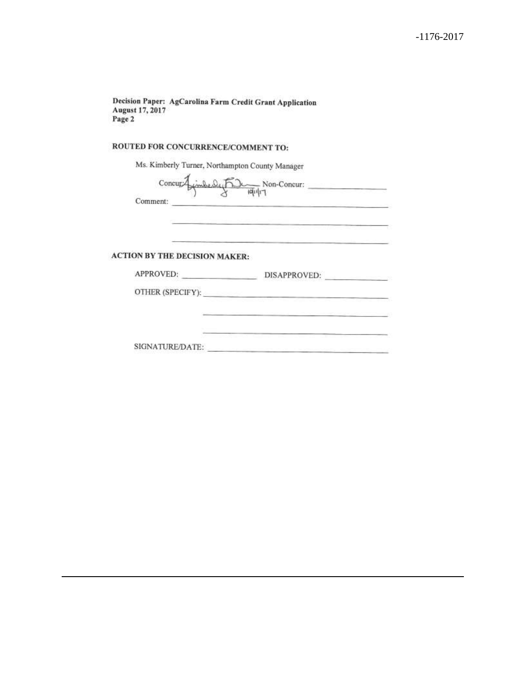Decision Paper: AgCarolina Farm Credit Grant Application August 17, 2017 Page 2

### ROUTED FOR CONCURRENCE/COMMENT TO:

Ms. Kimberly Turner, Northampton County Manager

 $Concur\overline{A}$ Comment:

**ACTION BY THE DECISION MAKER:** 

| APPROVED:        | DISAPPROVED:            |
|------------------|-------------------------|
| OTHER (SPECIFY): |                         |
|                  |                         |
|                  | the company's company's |
|                  |                         |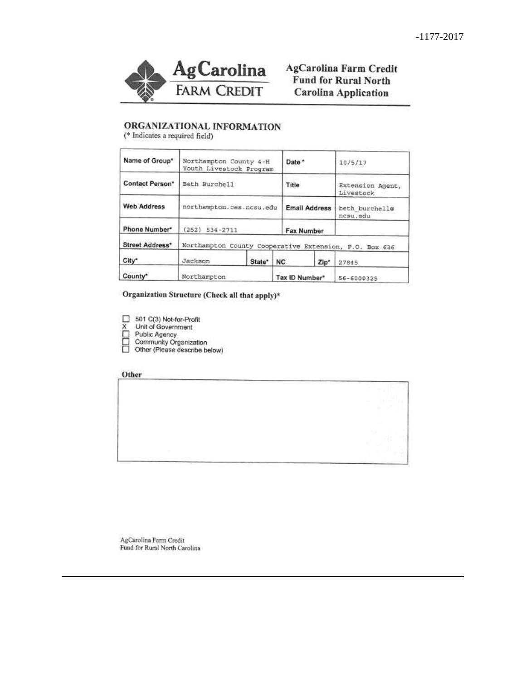

AgCarolina Farm Credit **Fund for Rural North Carolina Application** 

## ORGANIZATIONAL INFORMATION

(\* Indicates a required field)

| Name of Group*         | Northampton County 4-H<br>Youth Livestock Program      |        | Date <sup>*</sup> |                      | 10/5/17                       |
|------------------------|--------------------------------------------------------|--------|-------------------|----------------------|-------------------------------|
| <b>Contact Person*</b> | Beth Burchell                                          |        | Title             |                      | Extension Agent,<br>Livestock |
| <b>Web Address</b>     | northampton.ces.ncsu.edu                               |        |                   | <b>Email Address</b> | beth burchell@<br>ncsu.edu    |
| Phone Number*          | $534 - 2711$<br>(252)                                  |        |                   | Fax Number           |                               |
| <b>Street Address*</b> | Northampton County Cooperative Extension, P.O. Box 636 |        |                   |                      |                               |
| City*                  | Jackson                                                | State* | NC.               | Zip <sup>*</sup>     | 27845                         |
| County*                | Northampton                                            |        | Tax ID Number*    |                      | 56-6000325                    |

Organization Structure (Check all that apply)\*

- $\Box$  501 C(3) Not-for-Profit
- 
- 
- 
- X<br>
Unit of Government<br>
□ Public Agency<br>
□ Community Organization<br>
□ Other (Please describe below)

#### Other



 $\label{eq:agCarolina} \begin{array}{ll} \text{AgCarolina Farm Credit} \\ \text{Fund for Rural North Carolina} \end{array}$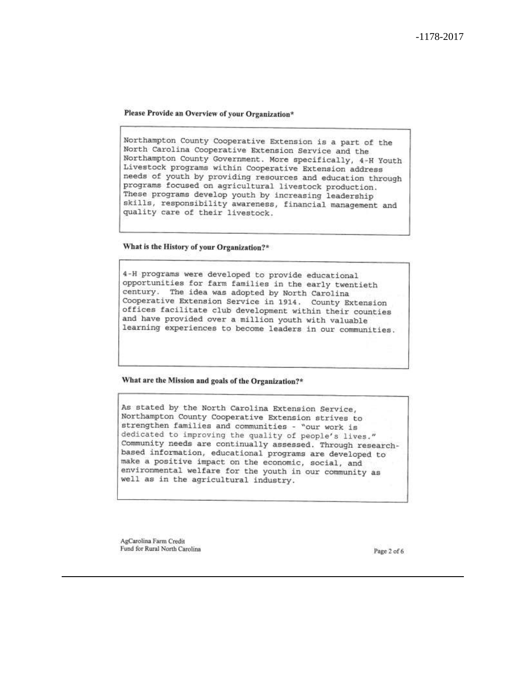Please Provide an Overview of your Organization\*

Northampton County Cooperative Extension is a part of the North Carolina Cooperative Extension Service and the Northampton County Government. More specifically, 4-H Youth Livestock programs within Cooperative Extension address needs of youth by providing resources and education through programs focused on agricultural livestock production. These programs develop youth by increasing leadership skills, responsibility awareness, financial management and quality care of their livestock.

What is the History of your Organization?\*

4-H programs were developed to provide educational opportunities for farm families in the early twentieth century. The idea was adopted by North Carolina Cooperative Extension Service in 1914. County Extension offices facilitate club development within their counties and have provided over a million youth with valuable learning experiences to become leaders in our communities.

What are the Mission and goals of the Organization?\*

As stated by the North Carolina Extension Service, Northampton County Cooperative Extension strives to strengthen families and communities - "our work is dedicated to improving the quality of people's lives." Community needs are continually assessed. Through researchbased information, educational programs are developed to make a positive impact on the economic, social, and environmental welfare for the youth in our community as well as in the agricultural industry.

AgCarolina Farm Credit Fund for Rural North Carolina

Page 2 of 6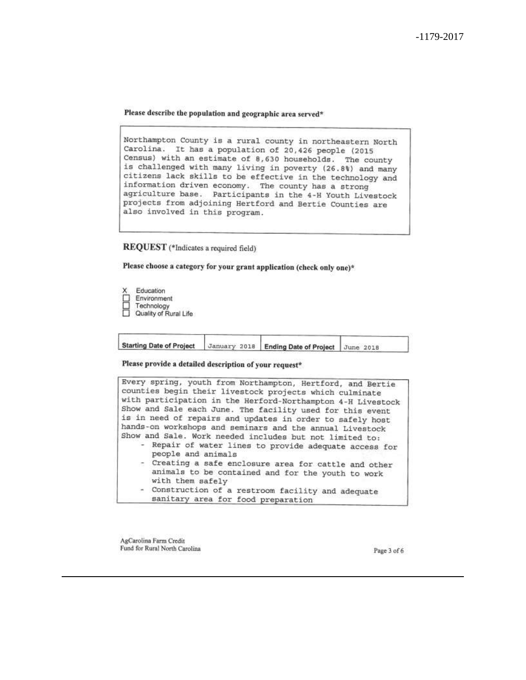Please describe the population and geographic area served\*

Northampton County is a rural county in northeastern North Carolina. It has a population of 20,426 people (2015 Census) with an estimate of 8,630 households. The county is challenged with many living in poverty (26.8%) and many citizens lack skills to be effective in the technology and information driven economy. The county has a strong agriculture base. Participants in the 4-H Youth Livestock projects from adjoining Hertford and Bertie Counties are also involved in this program.

REQUEST (\*Indicates a required field)

Please choose a category for your grant application (check only one)\*

Education

- Environment
- 

Technology<br>
Quality of Rural Life

| Starting Date of Project January 2018   Ending Date of Project June 2018 |  |  |
|--------------------------------------------------------------------------|--|--|
|                                                                          |  |  |

Please provide a detailed description of your request\*



AgCarolina Farm Credit Fund for Rural North Carolina

Page 3 of 6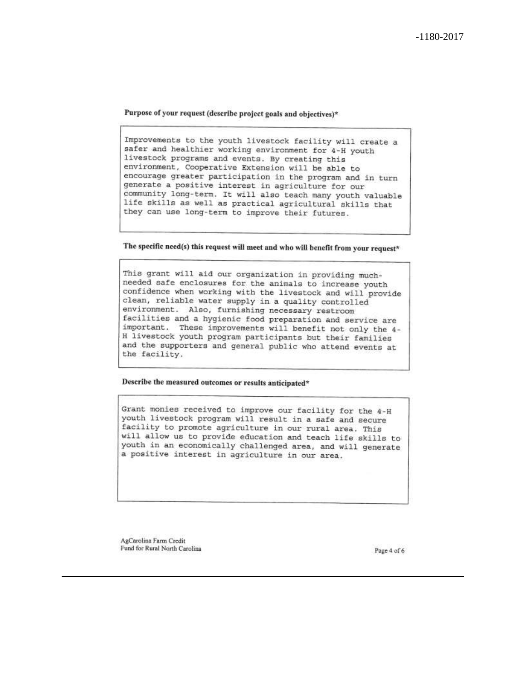Purpose of your request (describe project goals and objectives)\*

Improvements to the youth livestock facility will create a safer and healthier working environment for 4-H youth livestock programs and events. By creating this environment, Cooperative Extension will be able to encourage greater participation in the program and in turn generate a positive interest in agriculture for our community long-term. It will also teach many youth valuable life skills as well as practical agricultural skills that they can use long-term to improve their futures.

The specific need(s) this request will meet and who will benefit from your request\*

This grant will aid our organization in providing muchneeded safe enclosures for the animals to increase youth confidence when working with the livestock and will provide clean, reliable water supply in a quality controlled environment. Also, furnishing necessary restroom facilities and a hygienic food preparation and service are important. These improvements will benefit not only the 4-H livestock youth program participants but their families and the supporters and general public who attend events at the facility.

Describe the measured outcomes or results anticipated\*

Grant monies received to improve our facility for the 4-H youth livestock program will result in a safe and secure facility to promote agriculture in our rural area. This will allow us to provide education and teach life skills to youth in an economically challenged area, and will generate a positive interest in agriculture in our area.

AgCarolina Farm Credit Fund for Rural North Carolina

Page 4 of 6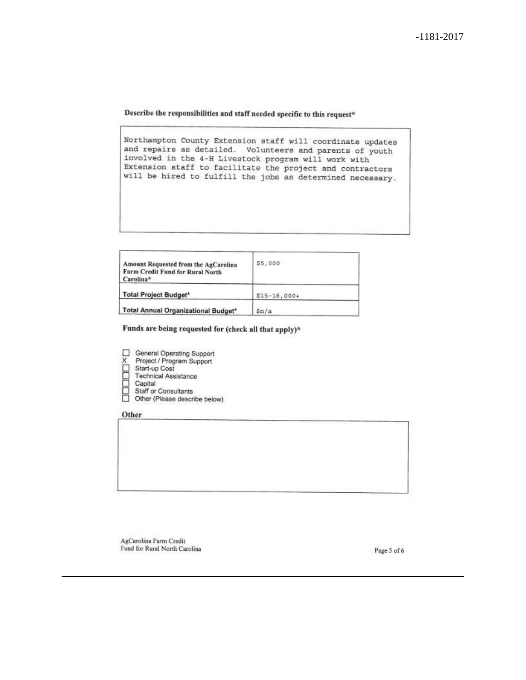Describe the responsibilities and staff needed specific to this request\*

Northampton County Extension staff will coordinate updates and repairs as detailed. Volunteers and parents of youth involved in the 4-H Livestock program will work with Extension staff to facilitate the project and contractors will be hired to fulfill the jobs as determined necessary.

| Amount Requested from the AgCarolina<br>Farm Credit Fund for Rural North<br>Carolina* | \$5,000         |
|---------------------------------------------------------------------------------------|-----------------|
| Total Project Budget*                                                                 | $$15 - 18,000+$ |
| Total Annual Organizational Budget*                                                   | sin/a           |

Funds are being requested for (check all that apply)\*

- □ General Operating Support<br>X Project / Program Support<br>□ Start-up Cost<br>□ Technical Assistance<br>□ Capital<br>□ Staff or Consultants<br>□ Other (Please describe below
	-
- 
- 
- 
- 
- Other (Please describe below)

Other

AgCarolina Farm Credit Fund for Rural North Carolina

Page 5 of 6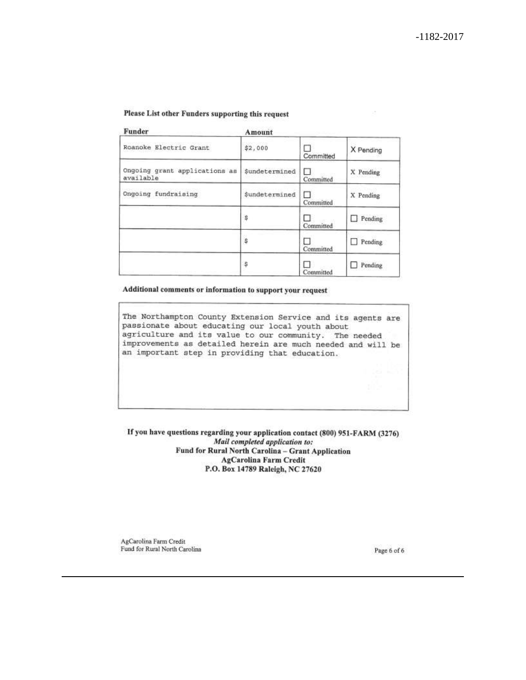#### Please List other Funders supporting this request

| Funder                                     | Amount        |                |           |
|--------------------------------------------|---------------|----------------|-----------|
| Roanoke Electric Grant                     | \$2,000       | Committed      | X Pending |
| Ongoing grant applications as<br>available | Sundetermined | п<br>Committed | X Pending |
| Ongoing fundraising                        | Sundetermined | п<br>Committed | X Pending |
|                                            | \$            | Committed      | Pending   |
|                                            | ŝ             | Committed      | Pending   |
|                                            | \$            | Committed      | Pending   |

Additional comments or information to support your request

The Northampton County Extension Service and its agents are passionate about educating our local youth about agriculture and its value to our community. The needed improvements as detailed herein are much needed and will be an important step in providing that education.

If you have questions regarding your application contact (800) 951-FARM (3276) Mail completed application to: Fund for Rural North Carolina - Grant Application **AgCarolina Farm Credit** P.O. Box 14789 Raleigh, NC 27620

AgCarolina Farm Credit Fund for Rural North Carolina

Page 6 of 6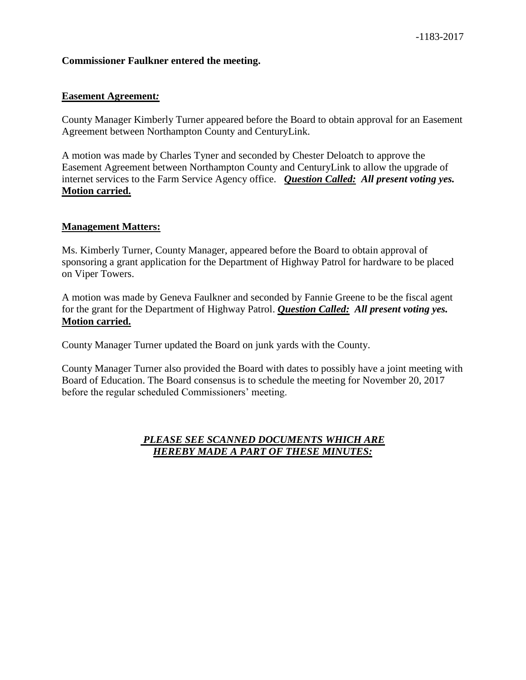## **Commissioner Faulkner entered the meeting.**

## **Easement Agreement***:*

County Manager Kimberly Turner appeared before the Board to obtain approval for an Easement Agreement between Northampton County and CenturyLink.

A motion was made by Charles Tyner and seconded by Chester Deloatch to approve the Easement Agreement between Northampton County and CenturyLink to allow the upgrade of internet services to the Farm Service Agency office. *Question Called: All present voting yes.*  **Motion carried.**

## **Management Matters:**

Ms. Kimberly Turner, County Manager, appeared before the Board to obtain approval of sponsoring a grant application for the Department of Highway Patrol for hardware to be placed on Viper Towers.

A motion was made by Geneva Faulkner and seconded by Fannie Greene to be the fiscal agent for the grant for the Department of Highway Patrol. *Question Called: All present voting yes.*  **Motion carried.**

County Manager Turner updated the Board on junk yards with the County.

County Manager Turner also provided the Board with dates to possibly have a joint meeting with Board of Education. The Board consensus is to schedule the meeting for November 20, 2017 before the regular scheduled Commissioners' meeting.

## *PLEASE SEE SCANNED DOCUMENTS WHICH ARE HEREBY MADE A PART OF THESE MINUTES:*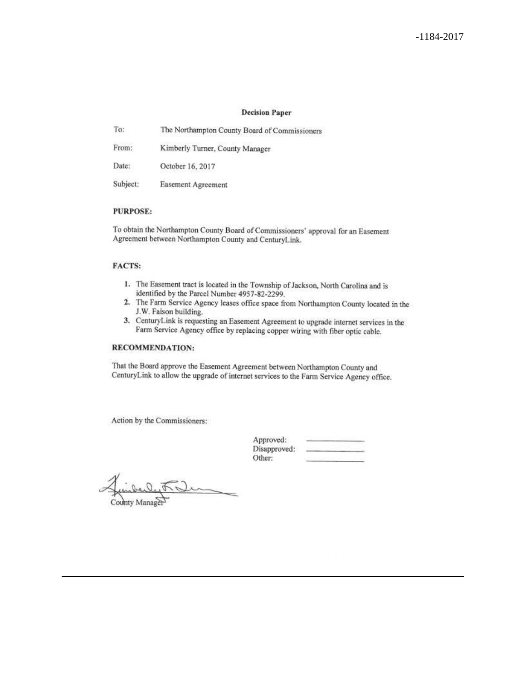#### **Decision Paper**

| To:      | The Northampton County Board of Commissioners |
|----------|-----------------------------------------------|
| From:    | Kimberly Turner, County Manager               |
| Date:    | October 16, 2017                              |
| Subject: | Easement Agreement                            |

#### **PURPOSE:**

To obtain the Northampton County Board of Commissioners' approval for an Easement Agreement between Northampton County and CenturyLink.

#### **FACTS:**

- 1. The Easement tract is located in the Township of Jackson, North Carolina and is identified by the Parcel Number 4957-82-2299.
- 2. The Farm Service Agency leases office space from Northampton County located in the J.W. Faison building.
- 3. CenturyLink is requesting an Easement Agreement to upgrade internet services in the Farm Service Agency office by replacing copper wiring with fiber optic cable.

#### RECOMMENDATION:

That the Board approve the Easement Agreement between Northampton County and CenturyLink to allow the upgrade of internet services to the Farm Service Agency office.

Action by the Commissioners:

| Approved:    |  |
|--------------|--|
| Disapproved: |  |
| Other:       |  |

County Manager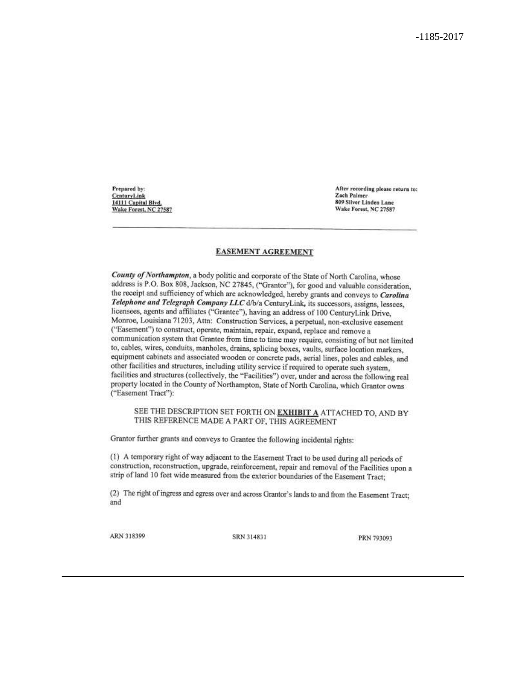Prepared by: CenturyLink 14111 Capital Blvd. Wake Forest, NC 27587 After recording please return to: **Zach Palmer** 809 Silver Linden Lane Wake Forest, NC 27587

#### **EASEMENT AGREEMENT**

County of Northampton, a body politic and corporate of the State of North Carolina, whose address is P.O. Box 808, Jackson, NC 27845, ("Grantor"), for good and valuable consideration, the receipt and sufficiency of which are acknowledged, hereby grants and conveys to Carolina Telephone and Telegraph Company LLC d/b/a CenturyLink, its successors, assigns, lessees, licensees, agents and affiliates ("Grantee"), having an address of 100 CenturyLink Drive, Monroe, Louisiana 71203, Attn: Construction Services, a perpetual, non-exclusive easement ("Easement") to construct, operate, maintain, repair, expand, replace and remove a communication system that Grantee from time to time may require, consisting of but not limited to, cables, wires, conduits, manholes, drains, splicing boxes, vaults, surface location markers, equipment cabinets and associated wooden or concrete pads, aerial lines, poles and cables, and other facilities and structures, including utility service if required to operate such system, facilities and structures (collectively, the "Facilities") over, under and across the following real property located in the County of Northampton, State of North Carolina, which Grantor owns ("Easement Tract"):

#### SEE THE DESCRIPTION SET FORTH ON EXHIBIT A ATTACHED TO, AND BY THIS REFERENCE MADE A PART OF, THIS AGREEMENT

Grantor further grants and conveys to Grantee the following incidental rights:

(1) A temporary right of way adjacent to the Easement Tract to be used during all periods of construction, reconstruction, upgrade, reinforcement, repair and removal of the Facilities upon a strip of land 10 feet wide measured from the exterior boundaries of the Easement Tract;

(2) The right of ingress and egress over and across Grantor's lands to and from the Easement Tract; and

ARN 318399

SRN 314831

PRN 793093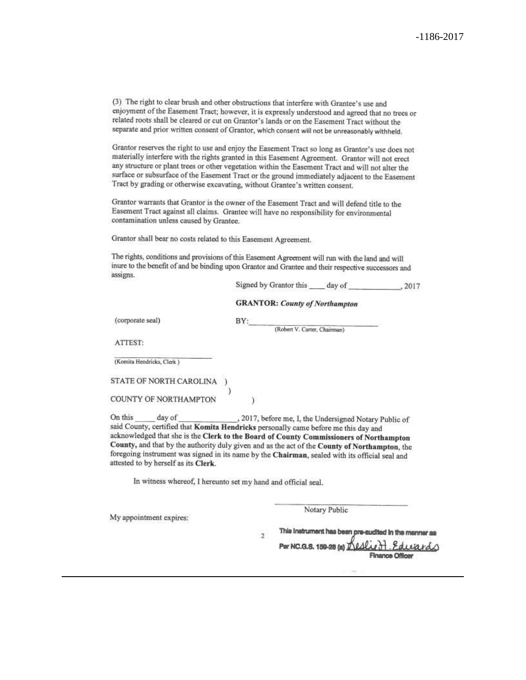(3) The right to clear brush and other obstructions that interfere with Grantee's use and enjoyment of the Easement Tract; however, it is expressly understood and agreed that no trees or related roots shall be cleared or cut on Grantor's lands or on the Easement Tract without the separate and prior written consent of Grantor, which consent will not be unreasonably withheld.

Grantor reserves the right to use and enjoy the Easement Tract so long as Grantor's use does not materially interfere with the rights granted in this Easement Agreement. Grantor will not erect any structure or plant trees or other vegetation within the Easement Tract and will not alter the surface or subsurface of the Easement Tract or the ground immediately adjacent to the Easement Tract by grading or otherwise excavating, without Grantee's written consent.

Grantor warrants that Grantor is the owner of the Easement Tract and will defend title to the Easement Tract against all claims. Grantee will have no responsibility for environmental contamination unless caused by Grantee.

Grantor shall bear no costs related to this Easement Agreement.

The rights, conditions and provisions of this Easement Agreement will run with the land and will inure to the benefit of and be binding upon Grantor and Grantee and their respective successors and assigns.

BY:

| Signed by Grantor this | day of | .2017 |
|------------------------|--------|-------|
|                        |        |       |

**GRANTOR: County of Northampton** 

(corporate seal)

(Robert V. Carter, Chairman)

ATTEST:

(Komita Hendricks, Clerk)

STATE OF NORTH CAROLINA

COUNTY OF NORTHAMPTON

On this day of , 2017, before me, I, the Undersigned Notary Public of said County, certified that Komita Hendricks personally came before me this day and acknowledged that she is the Clerk to the Board of County Commissioners of Northampton County, and that by the authority duly given and as the act of the County of Northampton, the foregoing instrument was signed in its name by the Chairman, sealed with its official seal and attested to by herself as its Clerk.

 $\lambda$ 

In witness whereof, I hereunto set my hand and official seal.

My appointment expires:

Notary Public

This instrument has been pre-audited in the manner as  $\overline{2}$ Per NC.G.S. 159-28 (a) 11/4

Finance Officer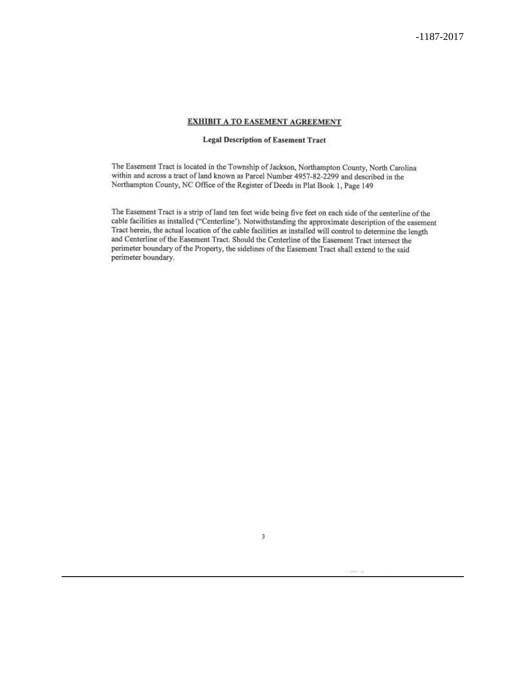#### **EXHIBIT A TO EASEMENT AGREEMENT**

#### **Legal Description of Easement Tract**

The Easement Tract is located in the Township of Jackson, Northampton County, North Carolina within and across a tract of land known as Parcel Number 4957-82-2299 and described in the Northampton County, NC Office of the Register of Deeds in Plat Book 1, Page 149

The Easement Tract is a strip of land ten feet wide being five feet on each side of the centerline of the cable facilities as installed ("Centerline'). Notwithstanding the approximate description of the easement Tract herein, the actual location of the cable facilities as installed will control to determine the length and Centerline of the Easement Tract. Should the Centerline of the Easement Tract intersect the perimeter boundary of the Property, the sidelines of the Easement Tract shall extend to the said perimeter boundary.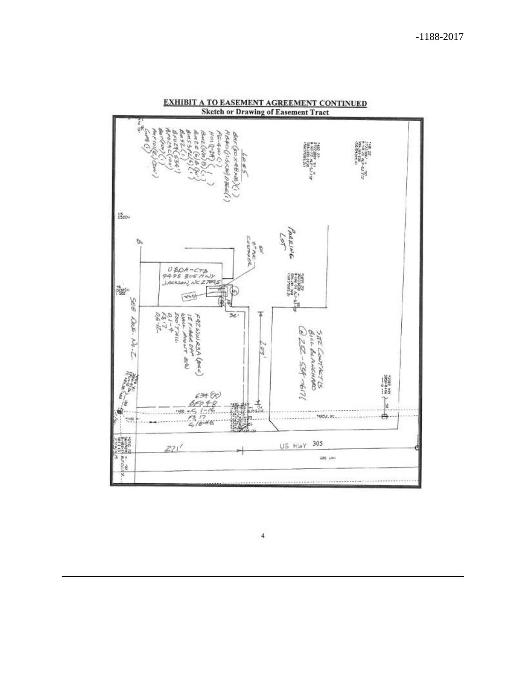

 $\sqrt{4}$